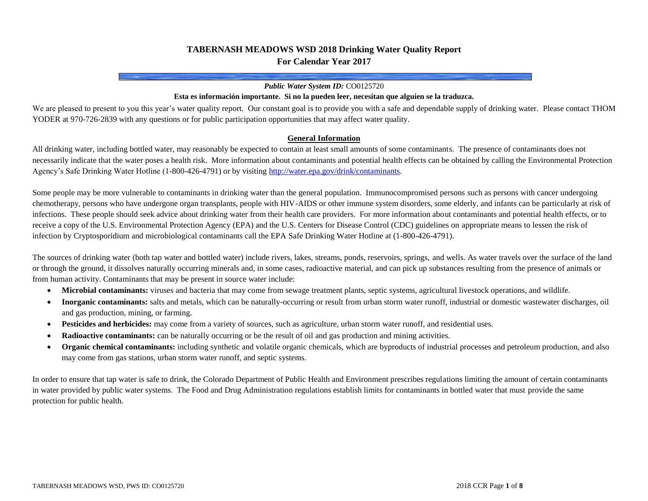# **TABERNASH MEADOWS WSD 2018 Drinking Water Quality Report For Calendar Year 2017**

#### *Public Water System ID:* CO0125720

### **Esta es información importante. Si no la pueden leer, necesitan que alguien se la traduzca.**

We are pleased to present to you this year's water quality report. Our constant goal is to provide you with a safe and dependable supply of drinking water. Please contact THOM YODER at 970-726-2839 with any questions or for public participation opportunities that may affect water quality.

#### **General Information**

All drinking water, including bottled water, may reasonably be expected to contain at least small amounts of some contaminants. The presence of contaminants does not necessarily indicate that the water poses a health risk. More information about contaminants and potential health effects can be obtained by calling the Environmental Protection Agency's Safe Drinking Water Hotline (1-800-426-4791) or by visitin[g http://water.epa.gov/drink/contaminants.](http://water.epa.gov/drink/contaminants)

Some people may be more vulnerable to contaminants in drinking water than the general population. Immunocompromised persons such as persons with cancer undergoing chemotherapy, persons who have undergone organ transplants, people with HIV-AIDS or other immune system disorders, some elderly, and infants can be particularly at risk of infections. These people should seek advice about drinking water from their health care providers. For more information about contaminants and potential health effects, or to receive a copy of the U.S. Environmental Protection Agency (EPA) and the U.S. Centers for Disease Control (CDC) guidelines on appropriate means to lessen the risk of infection by Cryptosporidium and microbiological contaminants call the EPA Safe Drinking Water Hotline at (1-800-426-4791).

The sources of drinking water (both tap water and bottled water) include rivers, lakes, streams, ponds, reservoirs, springs, and wells. As water travels over the surface of the land or through the ground, it dissolves naturally occurring minerals and, in some cases, radioactive material, and can pick up substances resulting from the presence of animals or from human activity. Contaminants that may be present in source water include:

- **Microbial contaminants:** viruses and bacteria that may come from sewage treatment plants, septic systems, agricultural livestock operations, and wildlife.
- **Inorganic contaminants:** salts and metals, which can be naturally-occurring or result from urban storm water runoff, industrial or domestic wastewater discharges, oil and gas production, mining, or farming.
- **Pesticides and herbicides:** may come from a variety of sources, such as agriculture, urban storm water runoff, and residential uses.
- **Radioactive contaminants:** can be naturally occurring or be the result of oil and gas production and mining activities.
- **Organic chemical contaminants:** including synthetic and volatile organic chemicals, which are byproducts of industrial processes and petroleum production, and also may come from gas stations, urban storm water runoff, and septic systems.

In order to ensure that tap water is safe to drink, the Colorado Department of Public Health and Environment prescribes regulations limiting the amount of certain contaminants in water provided by public water systems. The Food and Drug Administration regulations establish limits for contaminants in bottled water that must provide the same protection for public health.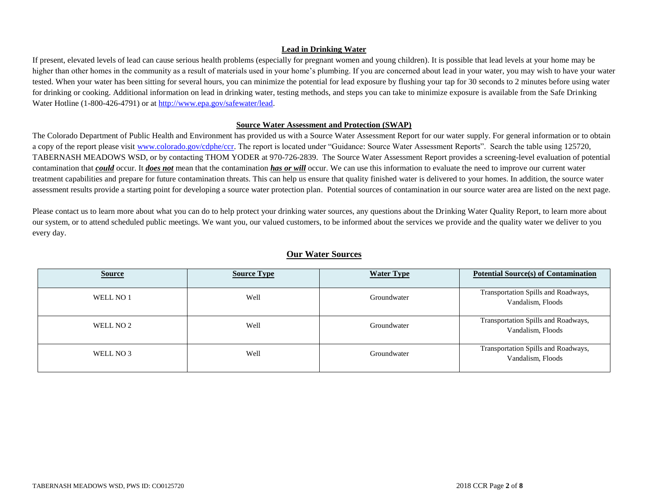### **Lead in Drinking Water**

If present, elevated levels of lead can cause serious health problems (especially for pregnant women and young children). It is possible that lead levels at your home may be higher than other homes in the community as a result of materials used in your home's plumbing. If you are concerned about lead in your water, you may wish to have your water tested. When your water has been sitting for several hours, you can minimize the potential for lead exposure by flushing your tap for 30 seconds to 2 minutes before using water for drinking or cooking. Additional information on lead in drinking water, testing methods, and steps you can take to minimize exposure is available from the Safe Drinking Water Hotline (1-800-426-4791) or a[t http://www.epa.gov/safewater/lead.](http://www.epa.gov/safewater/lead)

#### **Source Water Assessment and Protection (SWAP)**

The Colorado Department of Public Health and Environment has provided us with a Source Water Assessment Report for our water supply. For general information or to obtain a copy of the report please visit [www.colorado.gov/cdphe/ccr.](https://www.colorado.gov/cdphe/ccr) The report is located under "Guidance: Source Water Assessment Reports". Search the table using 125720, TABERNASH MEADOWS WSD, or by contacting THOM YODER at 970-726-2839. The Source Water Assessment Report provides a screening-level evaluation of potential contamination that *could* occur. It *does not* mean that the contamination *has or will* occur. We can use this information to evaluate the need to improve our current water treatment capabilities and prepare for future contamination threats. This can help us ensure that quality finished water is delivered to your homes. In addition, the source water assessment results provide a starting point for developing a source water protection plan. Potential sources of contamination in our source water area are listed on the next page.

Please contact us to learn more about what you can do to help protect your drinking water sources, any questions about the Drinking Water Quality Report, to learn more about our system, or to attend scheduled public meetings. We want you, our valued customers, to be informed about the services we provide and the quality water we deliver to you every day.

|--|

| <b>Source</b> | <b>Source Type</b> | <b>Water Type</b> | <b>Potential Source(s) of Contamination</b>              |
|---------------|--------------------|-------------------|----------------------------------------------------------|
| WELL NO 1     | Well               | Groundwater       | Transportation Spills and Roadways,<br>Vandalism, Floods |
| WELL NO 2     | Well               | Groundwater       | Transportation Spills and Roadways,<br>Vandalism, Floods |
| WELL NO 3     | Well               | Groundwater       | Transportation Spills and Roadways,<br>Vandalism, Floods |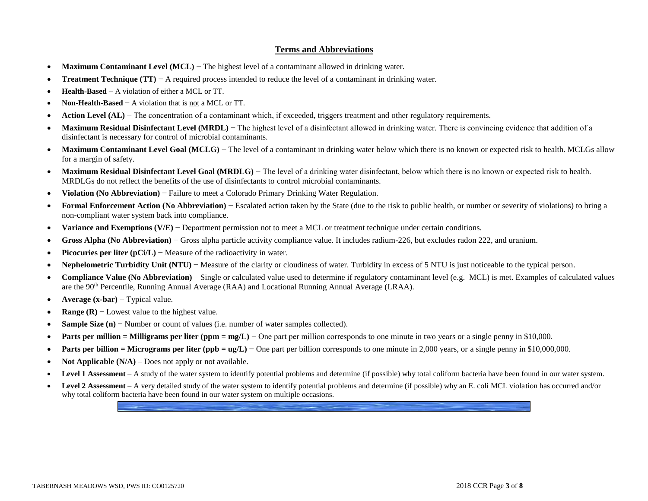### **Terms and Abbreviations**

- **Maximum Contaminant Level (MCL)** − The highest level of a contaminant allowed in drinking water.
- **Treatment Technique (TT)** − A required process intended to reduce the level of a contaminant in drinking water.
- **Health-Based** − A violation of either a MCL or TT.
- **Non-Health-Based** − A violation that is not a MCL or TT.
- **Action Level (AL)** − The concentration of a contaminant which, if exceeded, triggers treatment and other regulatory requirements.
- Maximum Residual Disinfectant Level (MRDL) The highest level of a disinfectant allowed in drinking water. There is convincing evidence that addition of a disinfectant is necessary for control of microbial contaminants.
- Maximum Contaminant Level Goal (MCLG) The level of a contaminant in drinking water below which there is no known or expected risk to health. MCLGs allow for a margin of safety.
- **Maximum Residual Disinfectant Level Goal (MRDLG)** The level of a drinking water disinfectant, below which there is no known or expected risk to health. MRDLGs do not reflect the benefits of the use of disinfectants to control microbial contaminants.
- **Violation (No Abbreviation)** − Failure to meet a Colorado Primary Drinking Water Regulation.
- **Formal Enforcement Action (No Abbreviation)** − Escalated action taken by the State (due to the risk to public health, or number or severity of violations) to bring a non-compliant water system back into compliance.
- **Variance and Exemptions (V/E)** − Department permission not to meet a MCL or treatment technique under certain conditions.
- **Gross Alpha (No Abbreviation)** − Gross alpha particle activity compliance value. It includes radium-226, but excludes radon 222, and uranium.
- **Picocuries per liter (pCi/L)** − Measure of the radioactivity in water.
- **Nephelometric Turbidity Unit (NTU)** − Measure of the clarity or cloudiness of water. Turbidity in excess of 5 NTU is just noticeable to the typical person.
- **Compliance Value (No Abbreviation)** Single or calculated value used to determine if regulatory contaminant level (e.g. MCL) is met. Examples of calculated values are the 90th Percentile, Running Annual Average (RAA) and Locational Running Annual Average (LRAA).
- **Average (x-bar)** − Typical value.
- **Range (R)** − Lowest value to the highest value.
- **Sample Size (n)** − Number or count of values (i.e. number of water samples collected).
- **• Parts per million = Milligrams per liter (ppm = mg/L)** One part per million corresponds to one minute in two years or a single penny in \$10,000.
- **Parts per billion = Micrograms per liter (ppb = ug/L)** One part per billion corresponds to one minute in 2,000 years, or a single penny in \$10,000,000.
- **Not Applicable (N/A)** Does not apply or not available.
- **Level 1 Assessment** A study of the water system to identify potential problems and determine (if possible) why total coliform bacteria have been found in our water system.
- **Level 2 Assessment** A very detailed study of the water system to identify potential problems and determine (if possible) why an E. coli MCL violation has occurred and/or why total coliform bacteria have been found in our water system on multiple occasions.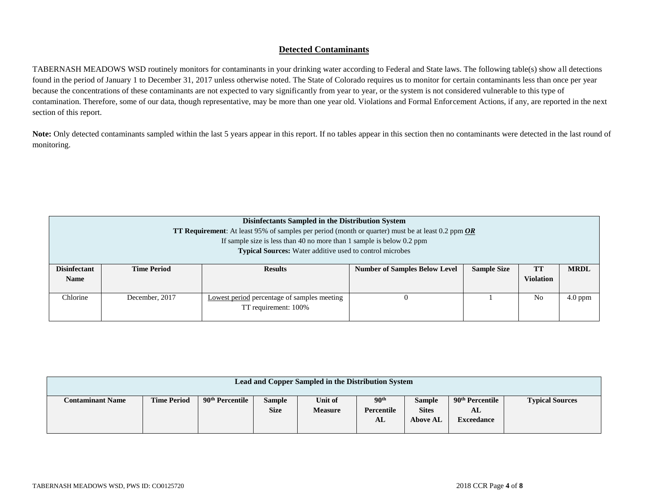# **Detected Contaminants**

TABERNASH MEADOWS WSD routinely monitors for contaminants in your drinking water according to Federal and State laws. The following table(s) show all detections found in the period of January 1 to December 31, 2017 unless otherwise noted. The State of Colorado requires us to monitor for certain contaminants less than once per year because the concentrations of these contaminants are not expected to vary significantly from year to year, or the system is not considered vulnerable to this type of contamination. Therefore, some of our data, though representative, may be more than one year old. Violations and Formal Enforcement Actions, if any, are reported in the next section of this report.

Note: Only detected contaminants sampled within the last 5 years appear in this report. If no tables appear in this section then no contaminants were detected in the last round of monitoring.

|                                                                                                            | Disinfectants Sampled in the Distribution System                |                                                                                                          |                  |  |                |           |  |  |  |  |  |
|------------------------------------------------------------------------------------------------------------|-----------------------------------------------------------------|----------------------------------------------------------------------------------------------------------|------------------|--|----------------|-----------|--|--|--|--|--|
| <b>TT Requirement:</b> At least 95% of samples per period (month or quarter) must be at least 0.2 ppm $OR$ |                                                                 |                                                                                                          |                  |  |                |           |  |  |  |  |  |
|                                                                                                            |                                                                 | If sample size is less than 40 no more than 1 sample is below $0.2$ ppm                                  |                  |  |                |           |  |  |  |  |  |
|                                                                                                            | <b>Typical Sources:</b> Water additive used to control microbes |                                                                                                          |                  |  |                |           |  |  |  |  |  |
| <b>Disinfectant</b>                                                                                        | <b>Time Period</b>                                              | <b>MRDL</b><br><b>Sample Size</b><br><b>Results</b><br><b>Number of Samples Below Level</b><br><b>TT</b> |                  |  |                |           |  |  |  |  |  |
| <b>Name</b>                                                                                                |                                                                 |                                                                                                          | <b>Violation</b> |  |                |           |  |  |  |  |  |
| Chlorine                                                                                                   | December, 2017                                                  | Lowest period percentage of samples meeting<br>TT requirement: 100%                                      | $\theta$         |  | N <sub>0</sub> | $4.0$ ppm |  |  |  |  |  |

| Lead and Copper Sampled in the Distribution System |                    |                             |                              |                           |                                      |                                                  |                                                        |                        |  |  |
|----------------------------------------------------|--------------------|-----------------------------|------------------------------|---------------------------|--------------------------------------|--------------------------------------------------|--------------------------------------------------------|------------------------|--|--|
| <b>Contaminant Name</b>                            | <b>Time Period</b> | 90 <sup>th</sup> Percentile | <b>Sample</b><br><b>Size</b> | Unit of<br><b>Measure</b> | 90 <sup>th</sup><br>Percentile<br>AL | <b>Sample</b><br><b>Sites</b><br><b>Above AL</b> | 90 <sup>th</sup> Percentile<br>AL<br><b>Exceedance</b> | <b>Typical Sources</b> |  |  |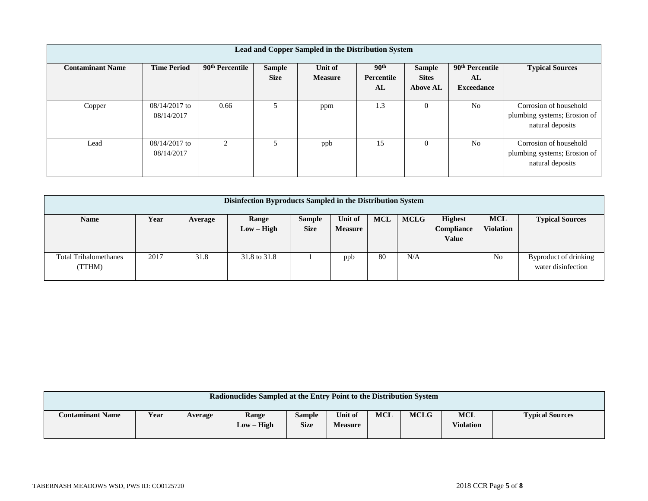| Lead and Copper Sampled in the Distribution System |                             |                             |                              |                           |                                |                               |                                   |                                                                            |  |  |
|----------------------------------------------------|-----------------------------|-----------------------------|------------------------------|---------------------------|--------------------------------|-------------------------------|-----------------------------------|----------------------------------------------------------------------------|--|--|
| <b>Contaminant Name</b>                            | <b>Time Period</b>          | 90 <sup>th</sup> Percentile | <b>Sample</b><br><b>Size</b> | Unit of<br><b>Measure</b> | 90 <sup>th</sup><br>Percentile | <b>Sample</b><br><b>Sites</b> | 90 <sup>th</sup> Percentile<br>AL | <b>Typical Sources</b>                                                     |  |  |
|                                                    |                             |                             |                              |                           | AL                             | <b>Above AL</b>               | <b>Exceedance</b>                 |                                                                            |  |  |
| Copper                                             | 08/14/2017 to<br>08/14/2017 | 0.66                        |                              | ppm                       | 1.3                            | $\theta$                      | N <sub>0</sub>                    | Corrosion of household<br>plumbing systems; Erosion of<br>natural deposits |  |  |
| Lead                                               | 08/14/2017 to<br>08/14/2017 | 2                           | 5                            | ppb                       | 15                             | $\Omega$                      | N <sub>0</sub>                    | Corrosion of household<br>plumbing systems; Erosion of<br>natural deposits |  |  |

| Disinfection Byproducts Sampled in the Distribution System |      |         |                       |                              |                           |     |             |                                                     |                                |                                             |
|------------------------------------------------------------|------|---------|-----------------------|------------------------------|---------------------------|-----|-------------|-----------------------------------------------------|--------------------------------|---------------------------------------------|
| <b>Name</b>                                                | Year | Average | Range<br>$Low - High$ | <b>Sample</b><br><b>Size</b> | Unit of<br><b>Measure</b> | MCL | <b>MCLG</b> | <b>Highest</b><br><b>Compliance</b><br><b>Value</b> | <b>MCL</b><br><b>Violation</b> | <b>Typical Sources</b>                      |
| <b>Total Trihalomethanes</b><br>(TTHM)                     | 2017 | 31.8    | 31.8 to 31.8          |                              | ppb                       | 80  | N/A         |                                                     | N <sub>0</sub>                 | Byproduct of drinking<br>water disinfection |

| Radionuclides Sampled at the Entry Point to the Distribution System |      |         |                          |                              |                           |            |             |                                |                        |  |
|---------------------------------------------------------------------|------|---------|--------------------------|------------------------------|---------------------------|------------|-------------|--------------------------------|------------------------|--|
| <b>Contaminant Name</b>                                             | Year | Average | Range<br>$-$ High<br>Low | <b>Sample</b><br><b>Size</b> | Unit of<br><b>Measure</b> | <b>MCL</b> | <b>MCLG</b> | <b>MCL</b><br><b>Violation</b> | <b>Typical Sources</b> |  |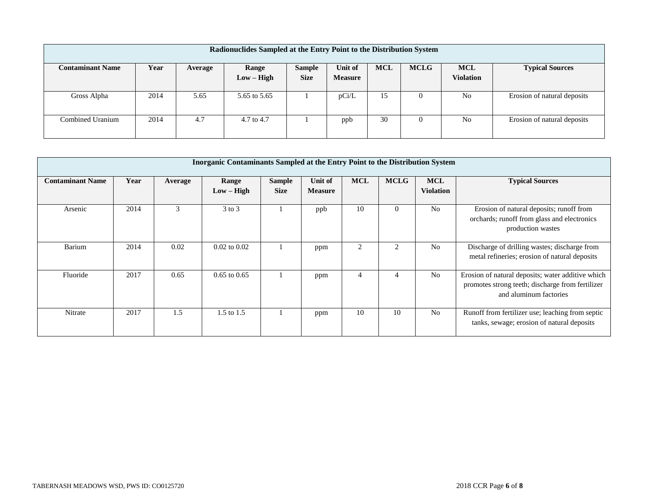| Radionuclides Sampled at the Entry Point to the Distribution System |      |         |              |               |                |            |             |                  |                             |  |  |
|---------------------------------------------------------------------|------|---------|--------------|---------------|----------------|------------|-------------|------------------|-----------------------------|--|--|
| <b>Contaminant Name</b>                                             | Year | Average | Range        | <b>Sample</b> | Unit of        | <b>MCL</b> | <b>MCLG</b> | <b>MCL</b>       | <b>Typical Sources</b>      |  |  |
|                                                                     |      |         | $Low - High$ | <b>Size</b>   | <b>Measure</b> |            |             | <b>Violation</b> |                             |  |  |
|                                                                     |      |         |              |               |                |            |             |                  |                             |  |  |
| Gross Alpha                                                         | 2014 | 5.65    | 5.65 to 5.65 |               | pCi/L          | 15         | $\theta$    | No               | Erosion of natural deposits |  |  |
|                                                                     |      |         |              |               |                |            |             |                  |                             |  |  |
| Combined Uranium                                                    | 2014 | 4.7     | 4.7 to 4.7   |               | ppb            | 30         | $\theta$    | N <sub>0</sub>   | Erosion of natural deposits |  |  |
|                                                                     |      |         |              |               |                |            |             |                  |                             |  |  |

|                         | <b>Inorganic Contaminants Sampled at the Entry Point to the Distribution System</b> |         |                       |                              |                           |                |             |                                |                                                                                                                                 |  |  |  |
|-------------------------|-------------------------------------------------------------------------------------|---------|-----------------------|------------------------------|---------------------------|----------------|-------------|--------------------------------|---------------------------------------------------------------------------------------------------------------------------------|--|--|--|
| <b>Contaminant Name</b> | Year                                                                                | Average | Range<br>$Low - High$ | <b>Sample</b><br><b>Size</b> | Unit of<br><b>Measure</b> | <b>MCL</b>     | <b>MCLG</b> | <b>MCL</b><br><b>Violation</b> | <b>Typical Sources</b>                                                                                                          |  |  |  |
| Arsenic                 | 2014                                                                                | 3       | $3$ to $3$            |                              | ppb                       | 10             | $\Omega$    | N <sub>o</sub>                 | Erosion of natural deposits; runoff from<br>orchards; runoff from glass and electronics<br>production wastes                    |  |  |  |
| Barium                  | 2014                                                                                | 0.02    | $0.02$ to $0.02$      |                              | ppm                       | $\mathfrak{D}$ |             | N <sub>o</sub>                 | Discharge of drilling wastes; discharge from<br>metal refineries; erosion of natural deposits                                   |  |  |  |
| Fluoride                | 2017                                                                                | 0.65    | $0.65$ to $0.65$      |                              | ppm                       | 4              | 4           | N <sub>o</sub>                 | Erosion of natural deposits; water additive which<br>promotes strong teeth; discharge from fertilizer<br>and aluminum factories |  |  |  |
| Nitrate                 | 2017                                                                                | 1.5     | 1.5 to 1.5            |                              | ppm                       | 10             | 10          | N <sub>0</sub>                 | Runoff from fertilizer use; leaching from septic<br>tanks, sewage; erosion of natural deposits                                  |  |  |  |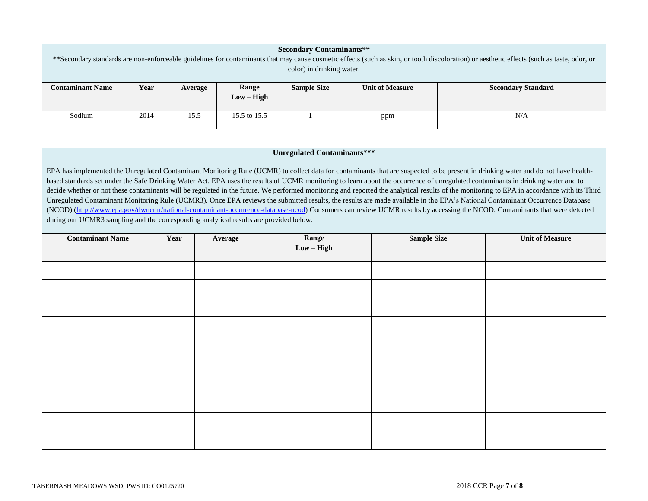| <b>Secondary Contaminants**</b>                                                                                                                                                            |      |         |                            |                    |                        |                           |  |  |  |  |
|--------------------------------------------------------------------------------------------------------------------------------------------------------------------------------------------|------|---------|----------------------------|--------------------|------------------------|---------------------------|--|--|--|--|
| **Secondary standards are non-enforceable guidelines for contaminants that may cause cosmetic effects (such as skin, or tooth discoloration) or aesthetic effects (such as taste, odor, or |      |         |                            |                    |                        |                           |  |  |  |  |
| color) in drinking water.                                                                                                                                                                  |      |         |                            |                    |                        |                           |  |  |  |  |
|                                                                                                                                                                                            |      |         |                            |                    |                        |                           |  |  |  |  |
| <b>Contaminant Name</b>                                                                                                                                                                    | Year | Average | Range                      | <b>Sample Size</b> | <b>Unit of Measure</b> | <b>Secondary Standard</b> |  |  |  |  |
|                                                                                                                                                                                            |      |         | $Low - High$               |                    |                        |                           |  |  |  |  |
|                                                                                                                                                                                            |      |         |                            |                    |                        |                           |  |  |  |  |
| Sodium                                                                                                                                                                                     | 2014 | 15.5    | N/A<br>15.5 to 15.5<br>ppm |                    |                        |                           |  |  |  |  |
|                                                                                                                                                                                            |      |         |                            |                    |                        |                           |  |  |  |  |

#### **Unregulated Contaminants\*\*\***

EPA has implemented the Unregulated Contaminant Monitoring Rule (UCMR) to collect data for contaminants that are suspected to be present in drinking water and do not have healthbased standards set under the Safe Drinking Water Act. EPA uses the results of UCMR monitoring to learn about the occurrence of unregulated contaminants in drinking water and to decide whether or not these contaminants will be regulated in the future. We performed monitoring and reported the analytical results of the monitoring to EPA in accordance with its Third Unregulated Contaminant Monitoring Rule (UCMR3). Once EPA reviews the submitted results, the results are made available in the EPA's National Contaminant Occurrence Database (NCOD) [\(http://www.epa.gov/dwucmr/national-contaminant-occurrence-database-ncod\)](http://www.epa.gov/dwucmr/national-contaminant-occurrence-database-ncod) Consumers can review UCMR results by accessing the NCOD. Contaminants that were detected during our UCMR3 sampling and the corresponding analytical results are provided below.

| <b>Contaminant Name</b> | Year | Average | Range<br>Low – High | <b>Sample Size</b> | <b>Unit of Measure</b> |
|-------------------------|------|---------|---------------------|--------------------|------------------------|
|                         |      |         |                     |                    |                        |
|                         |      |         |                     |                    |                        |
|                         |      |         |                     |                    |                        |
|                         |      |         |                     |                    |                        |
|                         |      |         |                     |                    |                        |
|                         |      |         |                     |                    |                        |
|                         |      |         |                     |                    |                        |
|                         |      |         |                     |                    |                        |
|                         |      |         |                     |                    |                        |
|                         |      |         |                     |                    |                        |
|                         |      |         |                     |                    |                        |
|                         |      |         |                     |                    |                        |
|                         |      |         |                     |                    |                        |